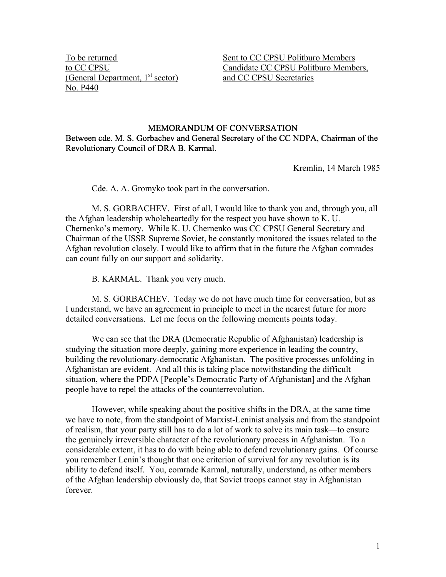(General Department,  $1<sup>st</sup> sector$ ) No. P440

To be returned Sent to CC CPSU Politburo Members to CC CPSU<br>
(General Department, 1<sup>st</sup> sector) Candidate CC CPSU Politburo Members,<br>
and CC CPSU Secretaries

## MEMORANDUM OF CONVERSATION Between cde. M. S. Gorbachev and General Secretary of the CC NDPA, Chairman of the Revolutionary Council of DRA B. Karmal.

Kremlin, 14 March 1985

Cde. A. A. Gromyko took part in the conversation.

 M. S. GORBACHEV. First of all, I would like to thank you and, through you, all the Afghan leadership wholeheartedly for the respect you have shown to K. U. Chernenko's memory. While K. U. Chernenko was CC CPSU General Secretary and Chairman of the USSR Supreme Soviet, he constantly monitored the issues related to the Afghan revolution closely. I would like to affirm that in the future the Afghan comrades can count fully on our support and solidarity.

B. KARMAL. Thank you very much.

 M. S. GORBACHEV. Today we do not have much time for conversation, but as I understand, we have an agreement in principle to meet in the nearest future for more detailed conversations. Let me focus on the following moments points today.

 We can see that the DRA (Democratic Republic of Afghanistan) leadership is studying the situation more deeply, gaining more experience in leading the country, building the revolutionary-democratic Afghanistan. The positive processes unfolding in Afghanistan are evident. And all this is taking place notwithstanding the difficult situation, where the PDPA [People's Democratic Party of Afghanistan] and the Afghan people have to repel the attacks of the counterrevolution.

 However, while speaking about the positive shifts in the DRA, at the same time we have to note, from the standpoint of Marxist-Leninist analysis and from the standpoint of realism, that your party still has to do a lot of work to solve its main task—to ensure the genuinely irreversible character of the revolutionary process in Afghanistan. To a considerable extent, it has to do with being able to defend revolutionary gains. Of course you remember Lenin's thought that one criterion of survival for any revolution is its ability to defend itself. You, comrade Karmal, naturally, understand, as other members of the Afghan leadership obviously do, that Soviet troops cannot stay in Afghanistan forever.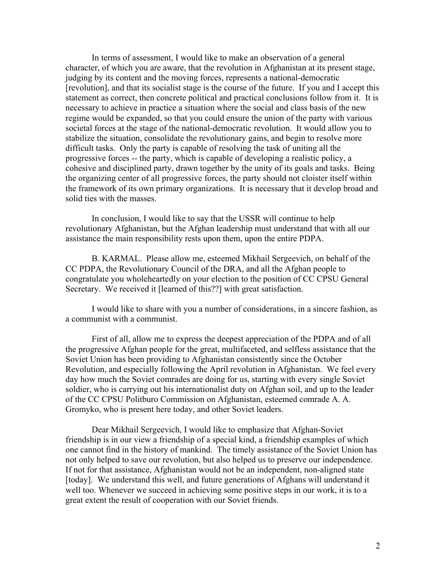In terms of assessment, I would like to make an observation of a general character, of which you are aware, that the revolution in Afghanistan at its present stage, judging by its content and the moving forces, represents a national-democratic [revolution], and that its socialist stage is the course of the future. If you and I accept this statement as correct, then concrete political and practical conclusions follow from it. It is necessary to achieve in practice a situation where the social and class basis of the new regime would be expanded, so that you could ensure the union of the party with various societal forces at the stage of the national-democratic revolution. It would allow you to stabilize the situation, consolidate the revolutionary gains, and begin to resolve more difficult tasks. Only the party is capable of resolving the task of uniting all the progressive forces -- the party, which is capable of developing a realistic policy, a cohesive and disciplined party, drawn together by the unity of its goals and tasks. Being the organizing center of all progressive forces, the party should not cloister itself within the framework of its own primary organizations. It is necessary that it develop broad and solid ties with the masses.

 In conclusion, I would like to say that the USSR will continue to help revolutionary Afghanistan, but the Afghan leadership must understand that with all our assistance the main responsibility rests upon them, upon the entire PDPA.

 B. KARMAL. Please allow me, esteemed Mikhail Sergeevich, on behalf of the CC PDPA, the Revolutionary Council of the DRA, and all the Afghan people to congratulate you wholeheartedly on your election to the position of CC CPSU General Secretary. We received it [learned of this??] with great satisfaction.

 I would like to share with you a number of considerations, in a sincere fashion, as a communist with a communist.

 First of all, allow me to express the deepest appreciation of the PDPA and of all the progressive Afghan people for the great, multifaceted, and selfless assistance that the Soviet Union has been providing to Afghanistan consistently since the October Revolution, and especially following the April revolution in Afghanistan. We feel every day how much the Soviet comrades are doing for us, starting with every single Soviet soldier, who is carrying out his internationalist duty on Afghan soil, and up to the leader of the CC CPSU Politburo Commission on Afghanistan, esteemed comrade A. A. Gromyko, who is present here today, and other Soviet leaders.

 Dear Mikhail Sergeevich, I would like to emphasize that Afghan-Soviet friendship is in our view a friendship of a special kind, a friendship examples of which one cannot find in the history of mankind. The timely assistance of the Soviet Union has not only helped to save our revolution, but also helped us to preserve our independence. If not for that assistance, Afghanistan would not be an independent, non-aligned state [today]. We understand this well, and future generations of Afghans will understand it well too. Whenever we succeed in achieving some positive steps in our work, it is to a great extent the result of cooperation with our Soviet friends.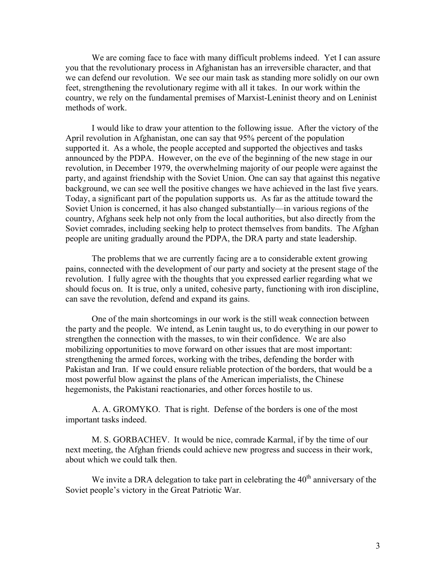We are coming face to face with many difficult problems indeed. Yet I can assure you that the revolutionary process in Afghanistan has an irreversible character, and that we can defend our revolution. We see our main task as standing more solidly on our own feet, strengthening the revolutionary regime with all it takes. In our work within the country, we rely on the fundamental premises of Marxist-Leninist theory and on Leninist methods of work.

 I would like to draw your attention to the following issue. After the victory of the April revolution in Afghanistan, one can say that 95% percent of the population supported it. As a whole, the people accepted and supported the objectives and tasks announced by the PDPA. However, on the eve of the beginning of the new stage in our revolution, in December 1979, the overwhelming majority of our people were against the party, and against friendship with the Soviet Union. One can say that against this negative background, we can see well the positive changes we have achieved in the last five years. Today, a significant part of the population supports us. As far as the attitude toward the Soviet Union is concerned, it has also changed substantially—in various regions of the country, Afghans seek help not only from the local authorities, but also directly from the Soviet comrades, including seeking help to protect themselves from bandits. The Afghan people are uniting gradually around the PDPA, the DRA party and state leadership.

 The problems that we are currently facing are a to considerable extent growing pains, connected with the development of our party and society at the present stage of the revolution. I fully agree with the thoughts that you expressed earlier regarding what we should focus on. It is true, only a united, cohesive party, functioning with iron discipline, can save the revolution, defend and expand its gains.

 One of the main shortcomings in our work is the still weak connection between the party and the people. We intend, as Lenin taught us, to do everything in our power to strengthen the connection with the masses, to win their confidence. We are also mobilizing opportunities to move forward on other issues that are most important: strengthening the armed forces, working with the tribes, defending the border with Pakistan and Iran. If we could ensure reliable protection of the borders, that would be a most powerful blow against the plans of the American imperialists, the Chinese hegemonists, the Pakistani reactionaries, and other forces hostile to us.

 A. A. GROMYKO. That is right. Defense of the borders is one of the most important tasks indeed.

M. S. GORBACHEV. It would be nice, comrade Karmal, if by the time of our next meeting, the Afghan friends could achieve new progress and success in their work, about which we could talk then.

We invite a DRA delegation to take part in celebrating the  $40<sup>th</sup>$  anniversary of the Soviet people's victory in the Great Patriotic War.